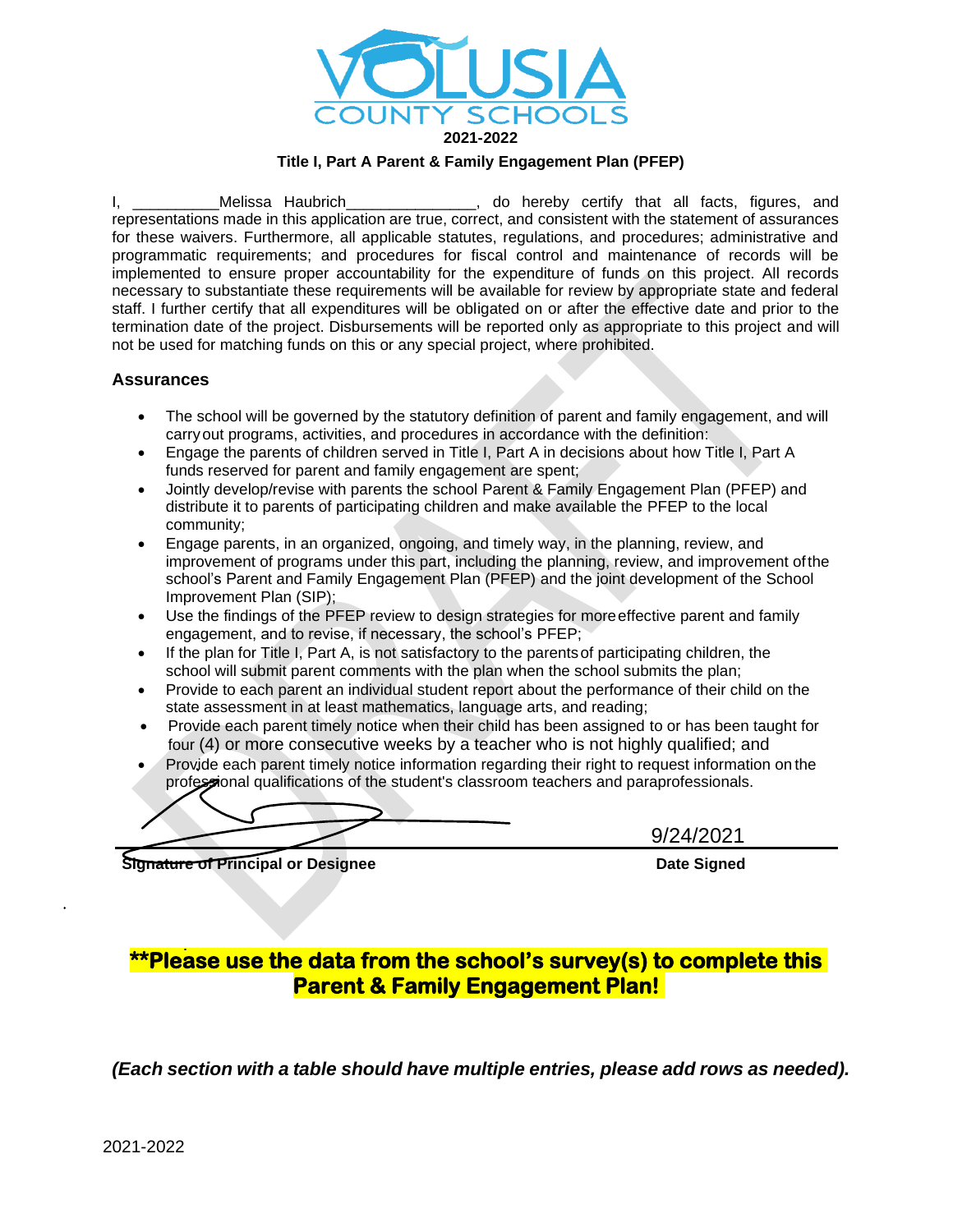

#### **Title I, Part A Parent & Family Engagement Plan (PFEP)**

I, \_\_\_\_\_\_\_\_\_\_\_\_Melissa Haubrich\_\_\_\_\_\_\_\_\_\_\_\_\_\_\_, do hereby certify that all facts, figures, and representations made in this application are true, correct, and consistent with the statement of assurances for these waivers. Furthermore, all applicable statutes, regulations, and procedures; administrative and programmatic requirements; and procedures for fiscal control and maintenance of records will be implemented to ensure proper accountability for the expenditure of funds on this project. All records necessary to substantiate these requirements will be available for review by appropriate state and federal staff. I further certify that all expenditures will be obligated on or after the effective date and prior to the termination date of the project. Disbursements will be reported only as appropriate to this project and will not be used for matching funds on this or any special project, where prohibited.

#### **Assurances**

- The school will be governed by the statutory definition of parent and family engagement, and will carryout programs, activities, and procedures in accordance with the definition:
- Engage the parents of children served in Title I, Part A in decisions about how Title I, Part A funds reserved for parent and family engagement are spent;
- Jointly develop/revise with parents the school Parent & Family Engagement Plan (PFEP) and distribute it to parents of participating children and make available the PFEP to the local community;
- Engage parents, in an organized, ongoing, and timely way, in the planning, review, and improvement of programs under this part, including the planning, review, and improvement ofthe school's Parent and Family Engagement Plan (PFEP) and the joint development of the School Improvement Plan (SIP);
- Use the findings of the PFEP review to design strategies for more effective parent and family engagement, and to revise, if necessary, the school's PFEP;
- If the plan for Title I, Part A, is not satisfactory to the parentsof participating children, the school will submit parent comments with the plan when the school submits the plan;
- Provide to each parent an individual student report about the performance of their child on the state assessment in at least mathematics, language arts, and reading;
- Provide each parent timely notice when their child has been assigned to or has been taught for four (4) or more consecutive weeks by a teacher who is not highly qualified; and
- Provide each parent timely notice information regarding their right to request information on the professional qualifications of the student's classroom teachers and paraprofessionals.

9/24/2021

**Signature of Principal or Designee Date Signature of Principal or Designee Date Signed** 

# **\*\*Please use the data from the school's survey(s) to complete this Parent & Family Engagement Plan!**

*(Each section with a table should have multiple entries, please add rows as needed).*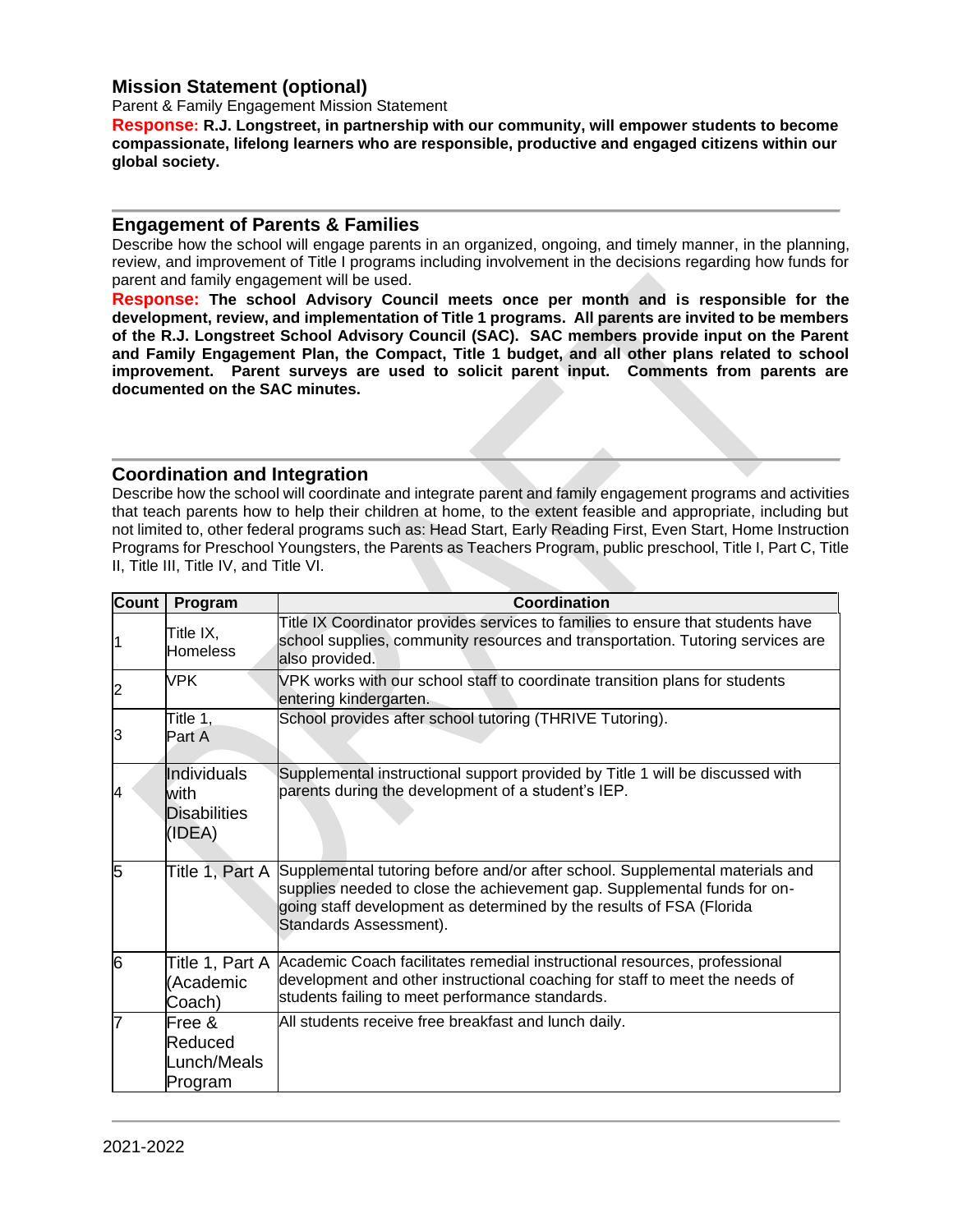### **Mission Statement (optional)**

Parent & Family Engagement Mission Statement

**Response: R.J. Longstreet, in partnership with our community, will empower students to become compassionate, lifelong learners who are responsible, productive and engaged citizens within our global society.**

#### **Engagement of Parents & Families**

Describe how the school will engage parents in an organized, ongoing, and timely manner, in the planning, review, and improvement of Title I programs including involvement in the decisions regarding how funds for parent and family engagement will be used.

**Response: The school Advisory Council meets once per month and is responsible for the development, review, and implementation of Title 1 programs. All parents are invited to be members of the R.J. Longstreet School Advisory Council (SAC). SAC members provide input on the Parent and Family Engagement Plan, the Compact, Title 1 budget, and all other plans related to school improvement. Parent surveys are used to solicit parent input. Comments from parents are documented on the SAC minutes.**

### **Coordination and Integration**

Describe how the school will coordinate and integrate parent and family engagement programs and activities that teach parents how to help their children at home, to the extent feasible and appropriate, including but not limited to, other federal programs such as: Head Start, Early Reading First, Even Start, Home Instruction Programs for Preschool Youngsters, the Parents as Teachers Program, public preschool, Title I, Part C, Title II, Title III, Title IV, and Title VI.

| <b>Count</b>   | Program                                              | Coordination                                                                                                                                                                                                                                                               |
|----------------|------------------------------------------------------|----------------------------------------------------------------------------------------------------------------------------------------------------------------------------------------------------------------------------------------------------------------------------|
| 11             | Title IX,<br><b>Homeless</b>                         | Title IX Coordinator provides services to families to ensure that students have<br>school supplies, community resources and transportation. Tutoring services are<br>also provided.                                                                                        |
| $\overline{2}$ | <b>VPK</b>                                           | VPK works with our school staff to coordinate transition plans for students<br>entering kindergarten.                                                                                                                                                                      |
| 3              | Title 1,<br>Part A                                   | School provides after school tutoring (THRIVE Tutoring).                                                                                                                                                                                                                   |
| 4              | Individuals<br>with<br><b>Disabilities</b><br>(IDEA) | Supplemental instructional support provided by Title 1 will be discussed with<br>parents during the development of a student's IEP.                                                                                                                                        |
| 5              |                                                      | Title 1, Part A Supplemental tutoring before and/or after school. Supplemental materials and<br>supplies needed to close the achievement gap. Supplemental funds for on-<br>going staff development as determined by the results of FSA (Florida<br>Standards Assessment). |
| 6              | Title 1, Part A<br>(Academic<br>Coach)               | Academic Coach facilitates remedial instructional resources, professional<br>development and other instructional coaching for staff to meet the needs of<br>students failing to meet performance standards.                                                                |
| 7              | Free &<br>Reduced<br>Lunch/Meals<br>Program          | All students receive free breakfast and lunch daily.                                                                                                                                                                                                                       |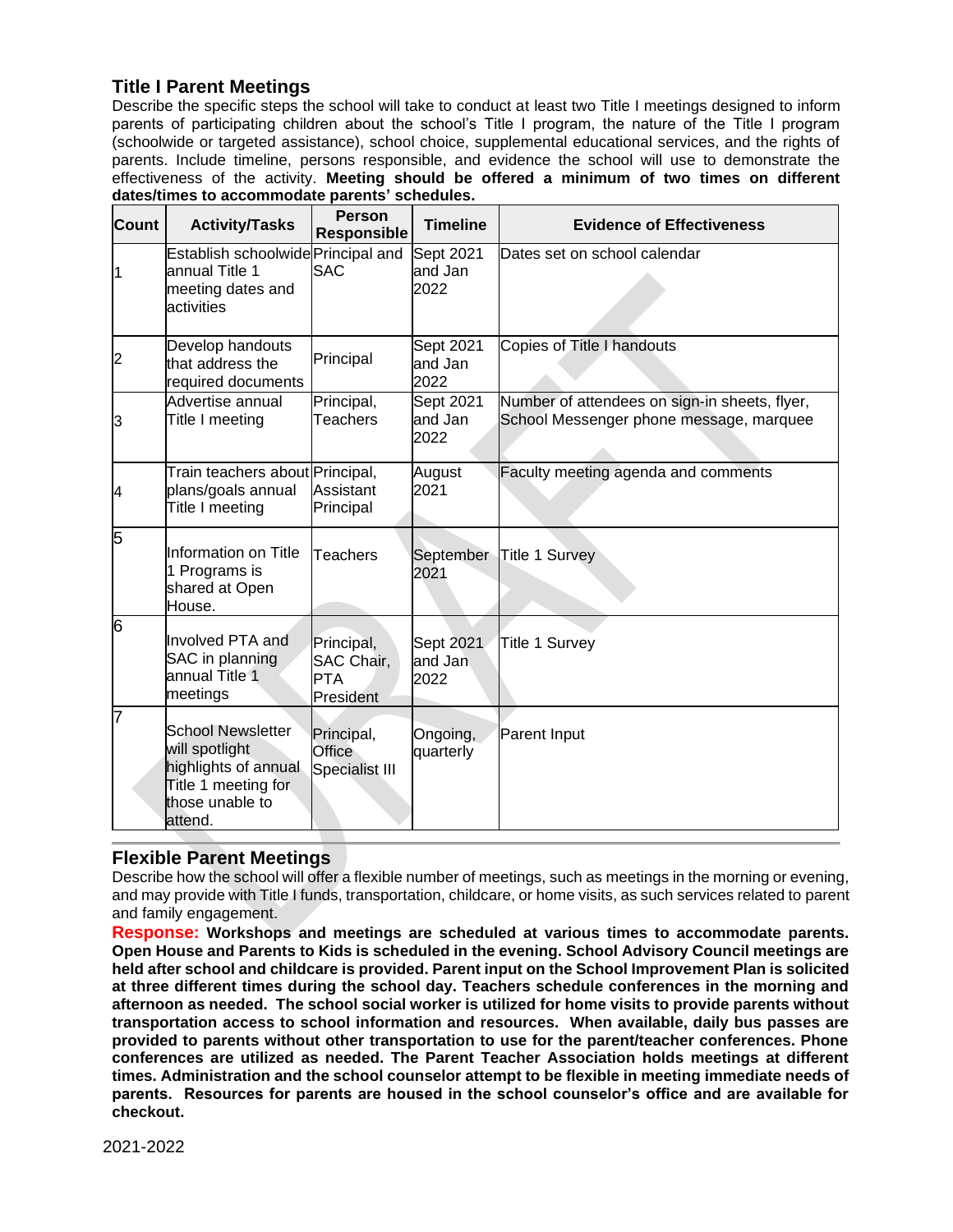### **Title I Parent Meetings**

Describe the specific steps the school will take to conduct at least two Title I meetings designed to inform parents of participating children about the school's Title I program, the nature of the Title I program (schoolwide or targeted assistance), school choice, supplemental educational services, and the rights of parents. Include timeline, persons responsible, and evidence the school will use to demonstrate the effectiveness of the activity. **Meeting should be offered a minimum of two times on different dates/times to accommodate parents' schedules.**

| <b>Count</b>            | <b>Activity/Tasks</b>                                                                                                   | <b>Person</b><br><b>Responsible</b>                 | <b>Timeline</b>              | <b>Evidence of Effectiveness</b>                                                         |
|-------------------------|-------------------------------------------------------------------------------------------------------------------------|-----------------------------------------------------|------------------------------|------------------------------------------------------------------------------------------|
| $\overline{\mathbf{1}}$ | Establish schoolwide Principal and<br>annual Title 1<br>meeting dates and<br>activities                                 | <b>SAC</b>                                          | Sept 2021<br>and Jan<br>2022 | Dates set on school calendar                                                             |
| $\overline{c}$          | Develop handouts<br>that address the<br>required documents                                                              | Principal                                           | Sept 2021<br>and Jan<br>2022 | Copies of Title I handouts                                                               |
| 3                       | Advertise annual<br>Title I meeting                                                                                     | Principal,<br>Teachers                              | Sept 2021<br>and Jan<br>2022 | Number of attendees on sign-in sheets, flyer,<br>School Messenger phone message, marquee |
| 4                       | Train teachers about Principal,<br>plans/goals annual<br>Title I meeting                                                | Assistant<br>Principal                              | August<br>2021               | Faculty meeting agenda and comments                                                      |
| 5                       | Information on Title<br>1 Programs is<br>shared at Open<br>House.                                                       | <b>Teachers</b>                                     | September<br>2021            | <b>Title 1 Survey</b>                                                                    |
| 6                       | Involved PTA and<br>SAC in planning<br>annual Title 1<br>meetings                                                       | Principal,<br>SAC Chair,<br><b>PTA</b><br>President | Sept 2021<br>and Jan<br>2022 | <b>Title 1 Survey</b>                                                                    |
| 7                       | <b>School Newsletter</b><br>will spotlight<br>highlights of annual<br>Title 1 meeting for<br>those unable to<br>attend. | Principal,<br>Office<br>Specialist III              | Ongoing,<br>quarterly        | Parent Input                                                                             |

### **Flexible Parent Meetings**

Describe how the school will offer a flexible number of meetings, such as meetings in the morning or evening, and may provide with Title I funds, transportation, childcare, or home visits, as such services related to parent and family engagement.

**Response: Workshops and meetings are scheduled at various times to accommodate parents. Open House and Parents to Kids is scheduled in the evening. School Advisory Council meetings are held after school and childcare is provided. Parent input on the School Improvement Plan is solicited at three different times during the school day. Teachers schedule conferences in the morning and afternoon as needed. The school social worker is utilized for home visits to provide parents without transportation access to school information and resources. When available, daily bus passes are provided to parents without other transportation to use for the parent/teacher conferences. Phone conferences are utilized as needed. The Parent Teacher Association holds meetings at different times. Administration and the school counselor attempt to be flexible in meeting immediate needs of parents. Resources for parents are housed in the school counselor's office and are available for checkout.**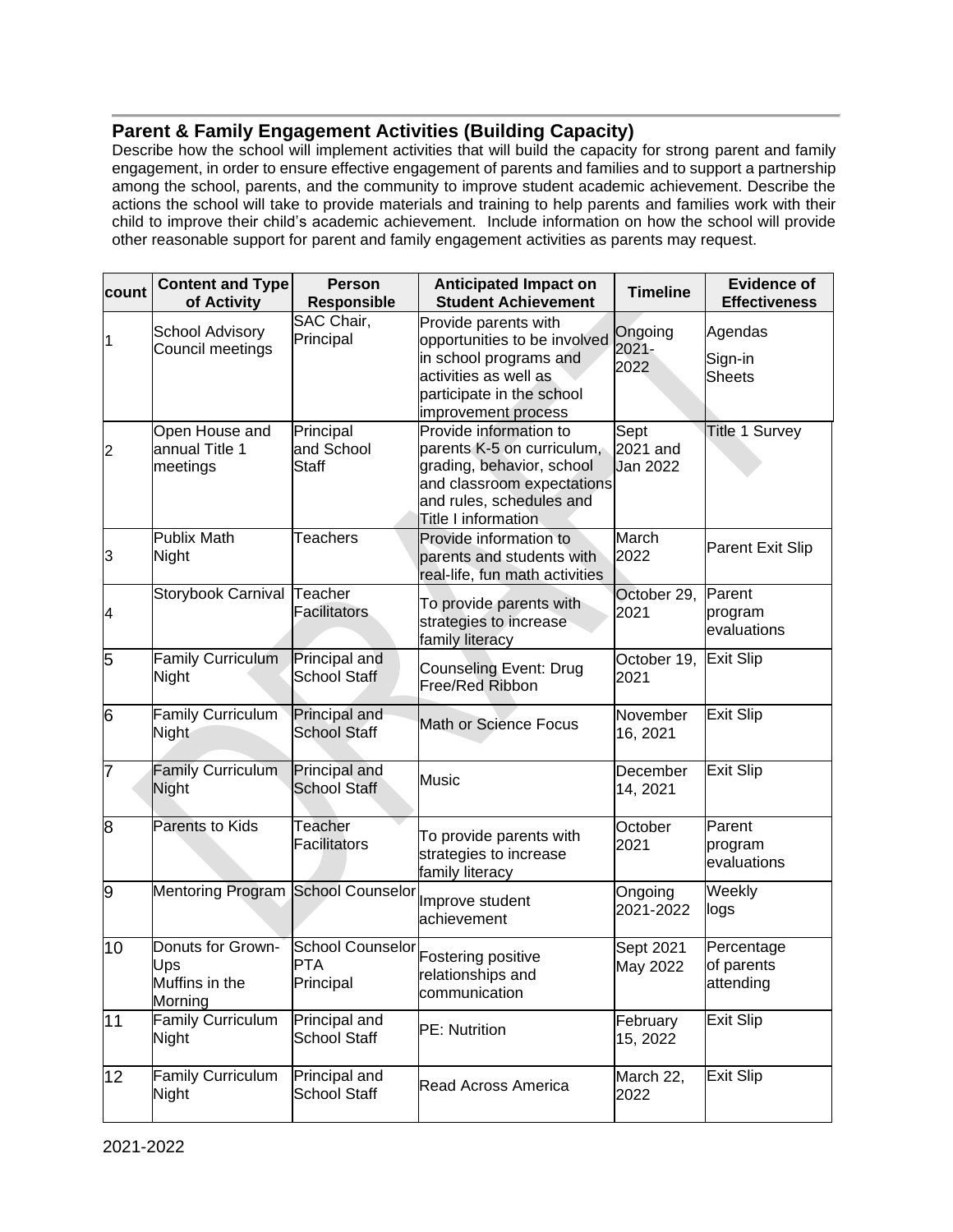### **Parent & Family Engagement Activities (Building Capacity)**

Describe how the school will implement activities that will build the capacity for strong parent and family engagement, in order to ensure effective engagement of parents and families and to support a partnership among the school, parents, and the community to improve student academic achievement. Describe the actions the school will take to provide materials and training to help parents and families work with their child to improve their child's academic achievement. Include information on how the school will provide other reasonable support for parent and family engagement activities as parents may request.

| count | <b>Content and Type</b><br>of Activity                | <b>Person</b><br><b>Responsible</b>         | <b>Anticipated Impact on</b><br><b>Student Achievement</b>                                                                                                                | <b>Timeline</b>                     | Evidence of<br><b>Effectiveness</b>   |
|-------|-------------------------------------------------------|---------------------------------------------|---------------------------------------------------------------------------------------------------------------------------------------------------------------------------|-------------------------------------|---------------------------------------|
| 1     | School Advisory<br>Council meetings                   | SAC Chair,<br>Principal                     | Provide parents with<br>opportunities to be involved<br>in school programs and<br>activities as well as<br>participate in the school<br>improvement process               | Ongoing<br>$2021 -$<br>2022         | Agendas<br>Sign-in<br><b>Sheets</b>   |
| 2     | Open House and<br>annual Title 1<br>meetings          | Principal<br>and School<br>Staff            | Provide information to<br>parents K-5 on curriculum,<br>grading, behavior, school<br>and classroom expectations<br>and rules, schedules and<br><b>Title I information</b> | Sept<br>2021 and<br><b>Jan 2022</b> | <b>Title 1 Survey</b>                 |
| 3     | <b>Publix Math</b><br>Night                           | <b>Teachers</b>                             | Provide information to<br>parents and students with<br>real-life, fun math activities                                                                                     | March<br>2022                       | <b>Parent Exit Slip</b>               |
| 4     | Storybook Carnival                                    | Teacher<br>Facilitators                     | To provide parents with<br>strategies to increase<br>family literacy                                                                                                      | October 29,<br>2021                 | Parent<br>program<br>evaluations      |
| 5     | <b>Family Curriculum</b><br>Night                     | Principal and<br><b>School Staff</b>        | <b>Counseling Event: Drug</b><br>Free/Red Ribbon                                                                                                                          | October 19,<br>2021                 | Exit Slip                             |
| 6     | <b>Family Curriculum</b><br>Night                     | Principal and<br><b>School Staff</b>        | Math or Science Focus                                                                                                                                                     | November<br>16, 2021                | <b>Exit Slip</b>                      |
| 7     | <b>Family Curriculum</b><br>Night                     | Principal and<br><b>School Staff</b>        | Music                                                                                                                                                                     | December<br>14, 2021                | <b>Exit Slip</b>                      |
| 8     | Parents to Kids                                       | Teacher<br><b>Facilitators</b>              | To provide parents with<br>strategies to increase<br>family literacy                                                                                                      | October<br>2021                     | Parent<br>program<br>evaluations      |
| 9     | Mentoring Program School Counselor                    |                                             | Improve student<br>achievement                                                                                                                                            | Ongoing<br>2021-2022                | Weekly<br>logs                        |
| 10    | Donuts for Grown-<br>Ups<br>Muffins in the<br>Morning | <b>School Counselor</b><br>PTA<br>Principal | Fostering positive<br>relationships and<br>communication                                                                                                                  | Sept 2021<br>May 2022               | Percentage<br>of parents<br>attending |
| 11    | Family Curriculum<br>Night                            | Principal and<br><b>School Staff</b>        | PE: Nutrition                                                                                                                                                             | February<br>15, 2022                | <b>Exit Slip</b>                      |
| 12    | Family Curriculum<br>Night                            | Principal and<br>School Staff               | <b>Read Across America</b>                                                                                                                                                | March 22,<br>2022                   | <b>Exit Slip</b>                      |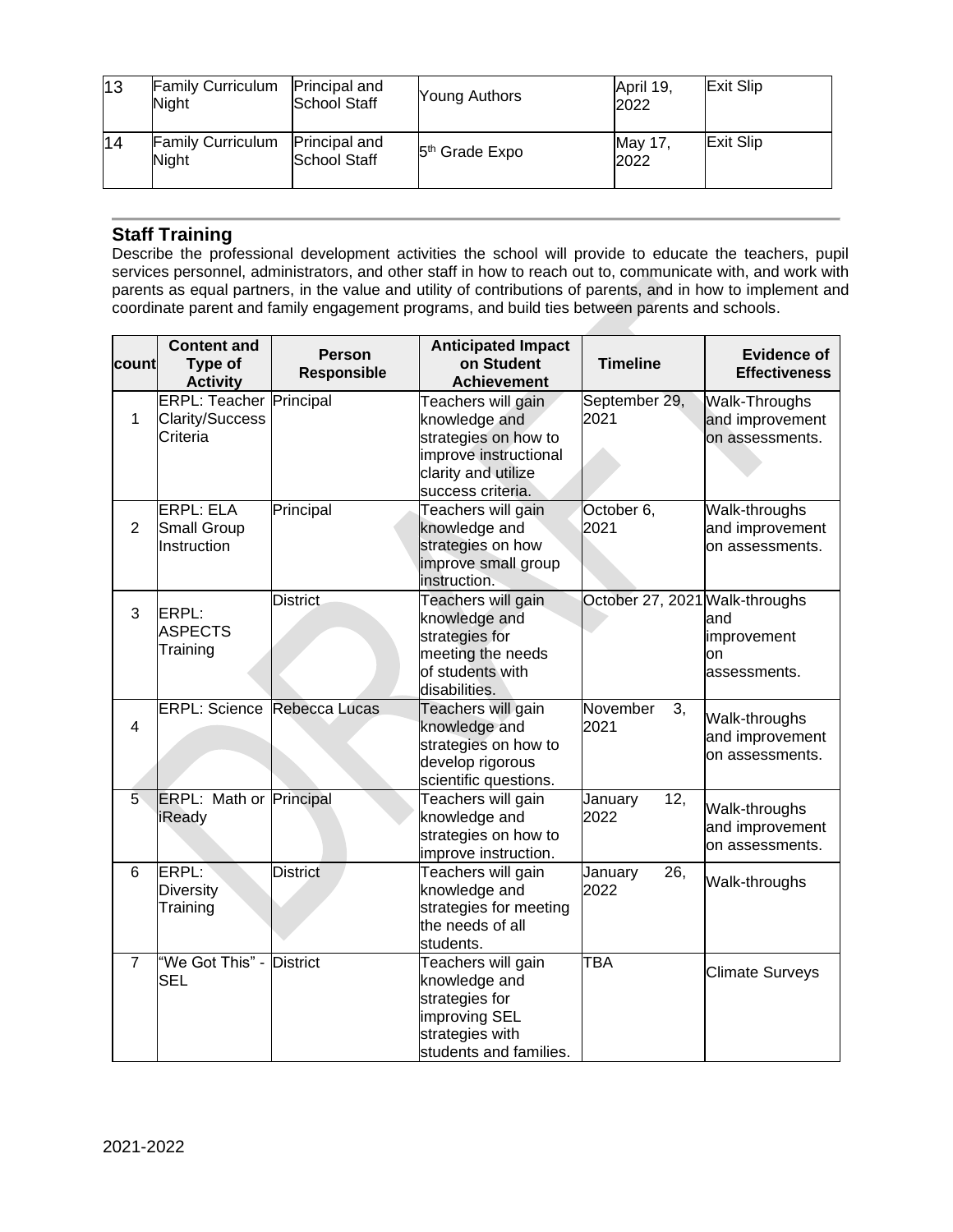| 13 | <b>Family Curriculum</b><br>Night | Principal and<br>School Staff               | Young Authors              | April 19.<br>2022 | Exit Slip |
|----|-----------------------------------|---------------------------------------------|----------------------------|-------------------|-----------|
| 14 | <b>Family Curriculum</b><br>Night | <b>Principal and</b><br><b>School Staff</b> | 5 <sup>th</sup> Grade Expo | May 17.<br>2022   | Exit Slip |

### **Staff Training**

Describe the professional development activities the school will provide to educate the teachers, pupil services personnel, administrators, and other staff in how to reach out to, communicate with, and work with parents as equal partners, in the value and utility of contributions of parents, and in how to implement and coordinate parent and family engagement programs, and build ties between parents and schools.

| count          | <b>Content and</b><br>Type of<br><b>Activity</b>                     | <b>Person</b><br>Responsible | <b>Anticipated Impact</b><br>on Student<br><b>Achievement</b>                                                                    | <b>Timeline</b>                | <b>Evidence of</b><br><b>Effectiveness</b>          |
|----------------|----------------------------------------------------------------------|------------------------------|----------------------------------------------------------------------------------------------------------------------------------|--------------------------------|-----------------------------------------------------|
| 1              | <b>ERPL: Teacher Principal</b><br><b>Clarity/Success</b><br>Criteria |                              | Teachers will gain<br>knowledge and<br>strategies on how to<br>improve instructional<br>clarity and utilize<br>success criteria. | September 29,<br>2021          | Walk-Throughs<br>and improvement<br>on assessments. |
| $\overline{2}$ | <b>ERPL: ELA</b><br><b>Small Group</b><br>Instruction                | Principal                    | Teachers will gain<br>knowledge and<br>strategies on how<br>improve small group<br>instruction.                                  | October 6,<br>2021             | Walk-throughs<br>and improvement<br>on assessments. |
| 3              | ERPL:<br><b>ASPECTS</b><br>Training                                  | <b>District</b>              | Teachers will gain<br>knowledge and<br>strategies for<br>meeting the needs<br>of students with<br>disabilities.                  | October 27, 2021 Walk-throughs | and<br>improvement<br>on<br>assessments.            |
| 4              | <b>ERPL: Science</b>                                                 | Rebecca Lucas                | Teachers will gain<br>knowledge and<br>strategies on how to<br>develop rigorous<br>scientific questions.                         | November<br>3,<br>2021         | Walk-throughs<br>and improvement<br>on assessments. |
| 5              | <b>ERPL: Math or Principal</b><br>iReady                             |                              | Teachers will gain<br>knowledge and<br>strategies on how to<br>improve instruction.                                              | 12,<br>January<br>2022         | Walk-throughs<br>and improvement<br>on assessments. |
| 6              | ERPL:<br><b>Diversity</b><br>Training                                | <b>District</b>              | Teachers will gain<br>knowledge and<br>strategies for meeting<br>the needs of all<br>students.                                   | January<br>26,<br>2022         | Walk-throughs                                       |
| $\overline{7}$ | "We Got This" - District<br><b>SEL</b>                               |                              | Teachers will gain<br>knowledge and<br>strategies for<br>improving SEL<br>strategies with<br>students and families.              | <b>TBA</b>                     | <b>Climate Surveys</b>                              |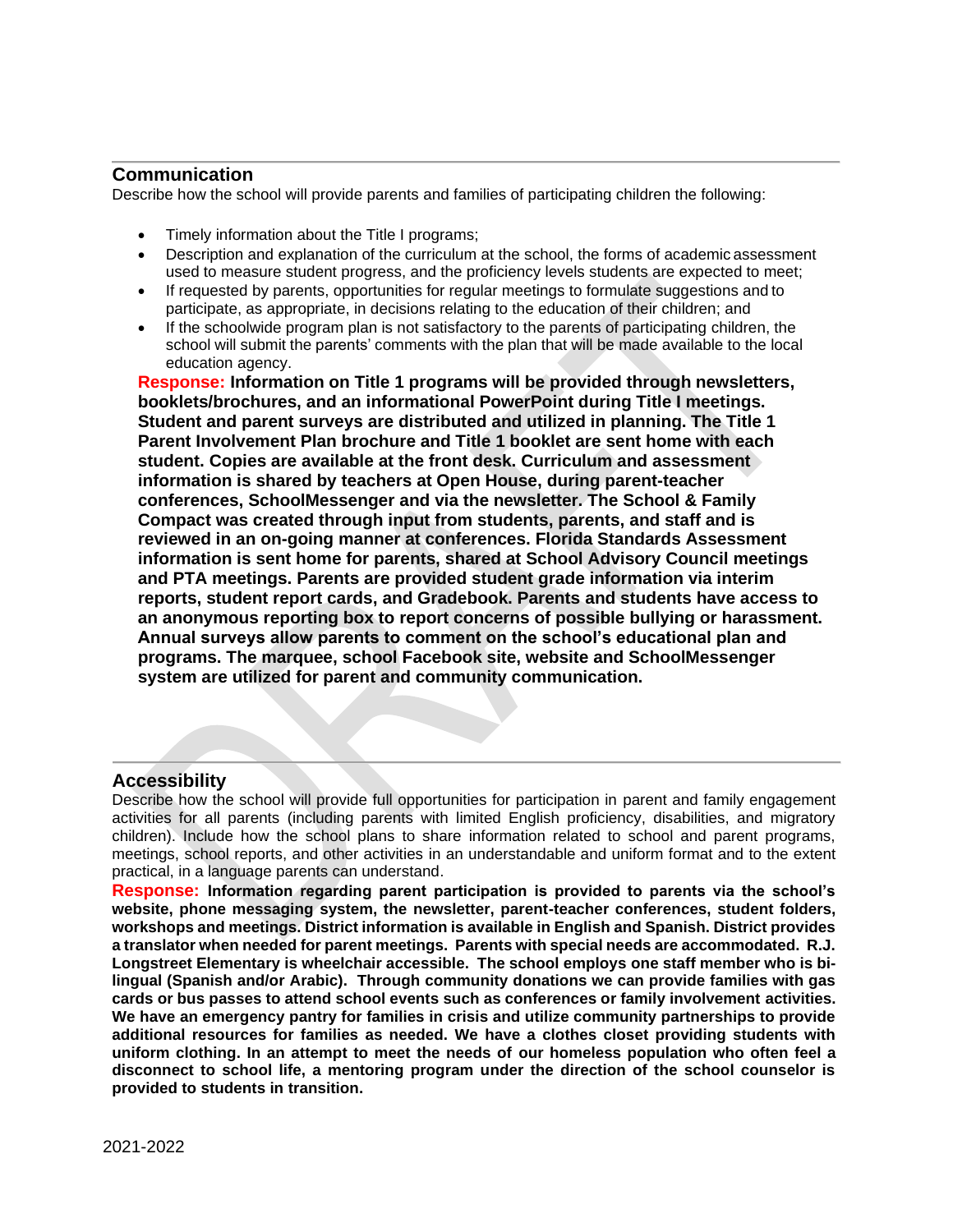### **Communication**

Describe how the school will provide parents and families of participating children the following:

- Timely information about the Title I programs;
- Description and explanation of the curriculum at the school, the forms of academic assessment used to measure student progress, and the proficiency levels students are expected to meet;
- If requested by parents, opportunities for regular meetings to formulate suggestions and to participate, as appropriate, in decisions relating to the education of their children; and
- If the schoolwide program plan is not satisfactory to the parents of participating children, the school will submit the parents' comments with the plan that will be made available to the local education agency.

**Response: Information on Title 1 programs will be provided through newsletters, booklets/brochures, and an informational PowerPoint during Title I meetings. Student and parent surveys are distributed and utilized in planning. The Title 1 Parent Involvement Plan brochure and Title 1 booklet are sent home with each student. Copies are available at the front desk. Curriculum and assessment information is shared by teachers at Open House, during parent-teacher conferences, SchoolMessenger and via the newsletter. The School & Family Compact was created through input from students, parents, and staff and is reviewed in an on-going manner at conferences. Florida Standards Assessment information is sent home for parents, shared at School Advisory Council meetings and PTA meetings. Parents are provided student grade information via interim reports, student report cards, and Gradebook. Parents and students have access to an anonymous reporting box to report concerns of possible bullying or harassment. Annual surveys allow parents to comment on the school's educational plan and programs. The marquee, school Facebook site, website and SchoolMessenger system are utilized for parent and community communication.** 

### **Accessibility**

Describe how the school will provide full opportunities for participation in parent and family engagement activities for all parents (including parents with limited English proficiency, disabilities, and migratory children). Include how the school plans to share information related to school and parent programs, meetings, school reports, and other activities in an understandable and uniform format and to the extent practical, in a language parents can understand.

**Response: Information regarding parent participation is provided to parents via the school's website, phone messaging system, the newsletter, parent-teacher conferences, student folders, workshops and meetings. District information is available in English and Spanish. District provides a translator when needed for parent meetings. Parents with special needs are accommodated. R.J. Longstreet Elementary is wheelchair accessible. The school employs one staff member who is bilingual (Spanish and/or Arabic). Through community donations we can provide families with gas cards or bus passes to attend school events such as conferences or family involvement activities. We have an emergency pantry for families in crisis and utilize community partnerships to provide additional resources for families as needed. We have a clothes closet providing students with uniform clothing. In an attempt to meet the needs of our homeless population who often feel a disconnect to school life, a mentoring program under the direction of the school counselor is provided to students in transition.**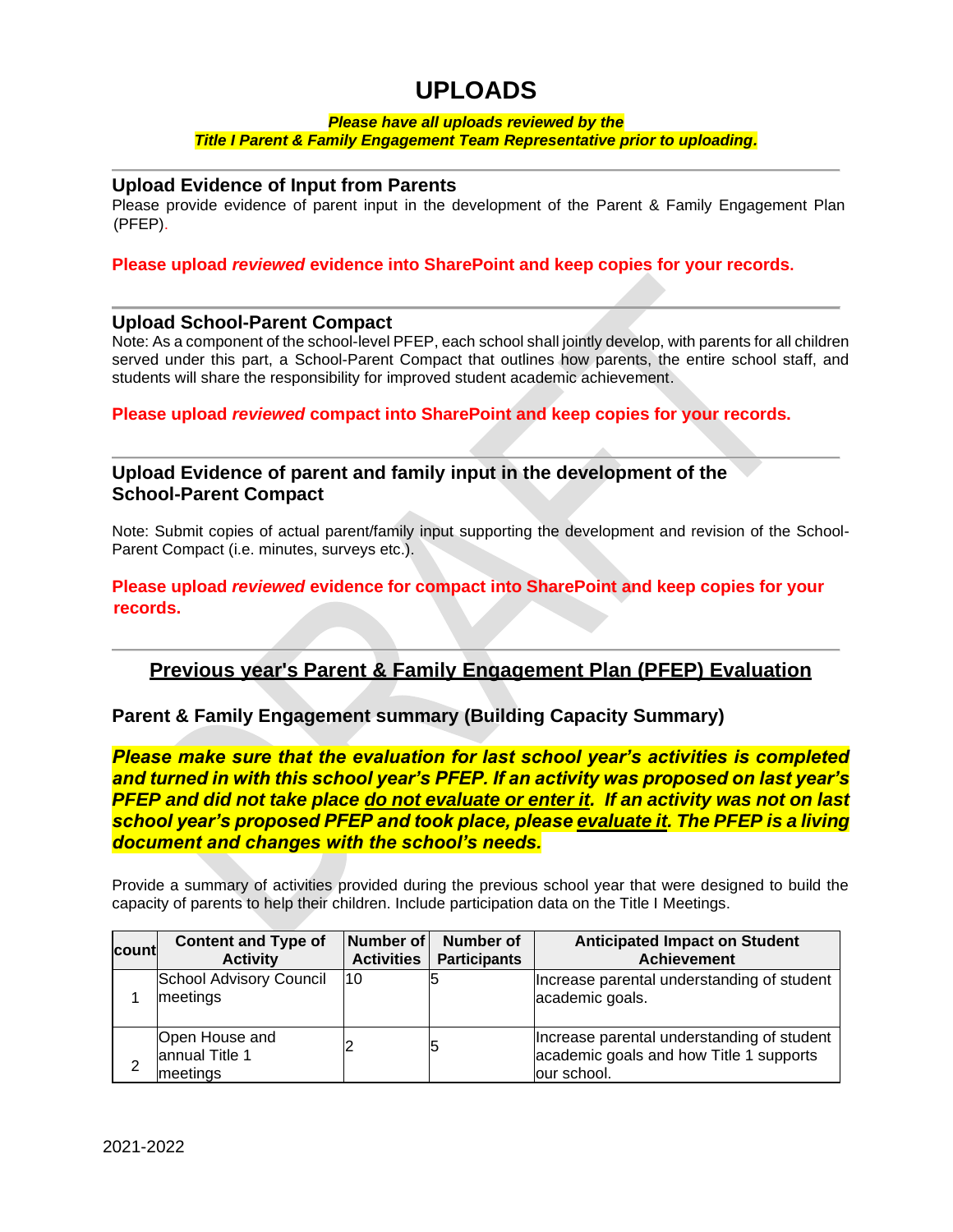# **UPLOADS**

#### *Please have all uploads reviewed by the Title I Parent & Family Engagement Team Representative prior to uploading.*

### **Upload Evidence of Input from Parents**

Please provide evidence of parent input in the development of the Parent & Family Engagement Plan (PFEP).

#### **Please upload** *reviewed* **evidence into SharePoint and keep copies for your records.**

#### **Upload School-Parent Compact**

Note: As a component of the school-level PFEP, each school shall jointly develop, with parents for all children served under this part, a School-Parent Compact that outlines how parents, the entire school staff, and students will share the responsibility for improved student academic achievement.

**Please upload** *reviewed* **compact into SharePoint and keep copies for your records.**

### **Upload Evidence of parent and family input in the development of the School-Parent Compact**

Note: Submit copies of actual parent/family input supporting the development and revision of the School-Parent Compact (i.e. minutes, surveys etc.).

**Please upload** *reviewed* **evidence for compact into SharePoint and keep copies for your records.**

### **Previous year's Parent & Family Engagement Plan (PFEP) Evaluation**

#### **Parent & Family Engagement summary (Building Capacity Summary)**

*Please make sure that the evaluation for last school year's activities is completed and turned in with this school year's PFEP. If an activity was proposed on last year's PFEP and did not take place do not evaluate or enter it. If an activity was not on last school year's proposed PFEP and took place, please evaluate it. The PFEP is a living document and changes with the school's needs.*

Provide a summary of activities provided during the previous school year that were designed to build the capacity of parents to help their children. Include participation data on the Title I Meetings.

| count | <b>Content and Type of</b>                   | Number of         | Number of           | <b>Anticipated Impact on Student</b>                                                                 |
|-------|----------------------------------------------|-------------------|---------------------|------------------------------------------------------------------------------------------------------|
|       | <b>Activity</b>                              | <b>Activities</b> | <b>Participants</b> | <b>Achievement</b>                                                                                   |
|       | School Advisory Council<br>meetings          | 10                |                     | Increase parental understanding of student<br>academic goals.                                        |
| ⌒     | Open House and<br>annual Title 1<br>meetings |                   |                     | Increase parental understanding of student<br>academic goals and how Title 1 supports<br>our school. |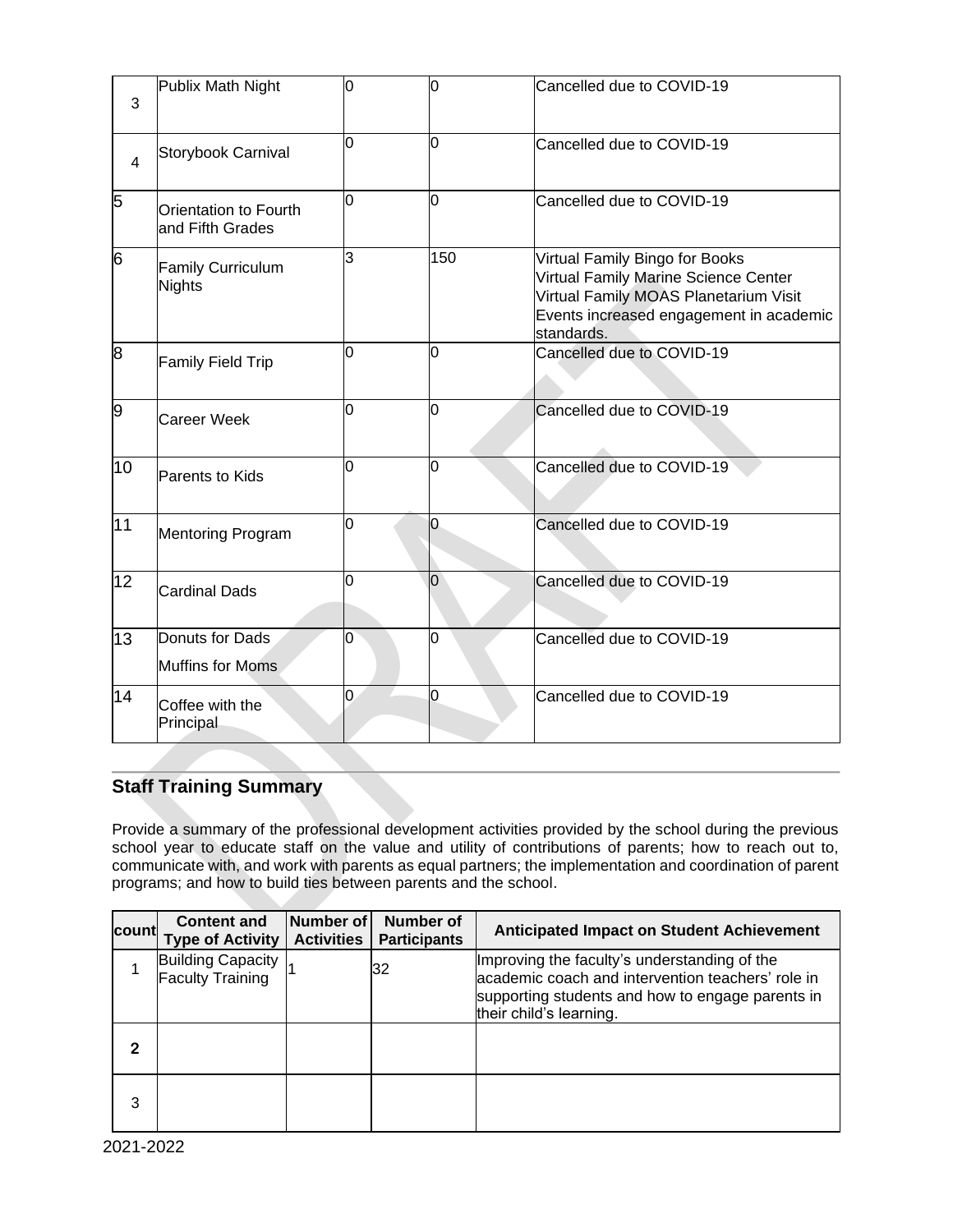| 3               | Publix Math Night                         | O  | 0              | Cancelled due to COVID-19                                                                                                                                                |
|-----------------|-------------------------------------------|----|----------------|--------------------------------------------------------------------------------------------------------------------------------------------------------------------------|
| $\overline{4}$  | Storybook Carnival                        | l0 | l0             | Cancelled due to COVID-19                                                                                                                                                |
| 5               | Orientation to Fourth<br>and Fifth Grades | 0  | 0              | Cancelled due to COVID-19                                                                                                                                                |
| 6               | <b>Family Curriculum</b><br>Nights        | lЗ | 150            | Virtual Family Bingo for Books<br>Virtual Family Marine Science Center<br>Virtual Family MOAS Planetarium Visit<br>Events increased engagement in academic<br>standards. |
| 8               | <b>Family Field Trip</b>                  | 0  | 0              | Cancelled due to COVID-19                                                                                                                                                |
| 9               | Career Week                               | O  | l0             | Cancelled due to COVID-19                                                                                                                                                |
| 10              | <b>Parents to Kids</b>                    | O  | 0              | Cancelled due to COVID-19                                                                                                                                                |
| 11              | <b>Mentoring Program</b>                  | O  | O              | Cancelled due to COVID-19                                                                                                                                                |
| 12 <sub>2</sub> | <b>Cardinal Dads</b>                      | 0  | 0              | Cancelled due to COVID-19                                                                                                                                                |
| 13              | Donuts for Dads<br>Muffins for Moms       | 0  | n              | Cancelled due to COVID-19                                                                                                                                                |
| 14              | Coffee with the<br>Principal              | 0  | $\overline{0}$ | Cancelled due to COVID-19                                                                                                                                                |

# **Staff Training Summary**

Provide a summary of the professional development activities provided by the school during the previous school year to educate staff on the value and utility of contributions of parents; how to reach out to, communicate with, and work with parents as equal partners; the implementation and coordination of parent programs; and how to build ties between parents and the school.

| countl | <b>Content and</b><br><b>Type of Activity</b> | Number of<br><b>Activities</b> | <b>Number of</b><br><b>Participants</b> | <b>Anticipated Impact on Student Achievement</b>                                                                                                                                 |
|--------|-----------------------------------------------|--------------------------------|-----------------------------------------|----------------------------------------------------------------------------------------------------------------------------------------------------------------------------------|
|        | <b>Building Capacity</b><br>Faculty Training  |                                | 32                                      | Improving the faculty's understanding of the<br>academic coach and intervention teachers' role in<br>supporting students and how to engage parents in<br>their child's learning. |
| 2      |                                               |                                |                                         |                                                                                                                                                                                  |
| 3      |                                               |                                |                                         |                                                                                                                                                                                  |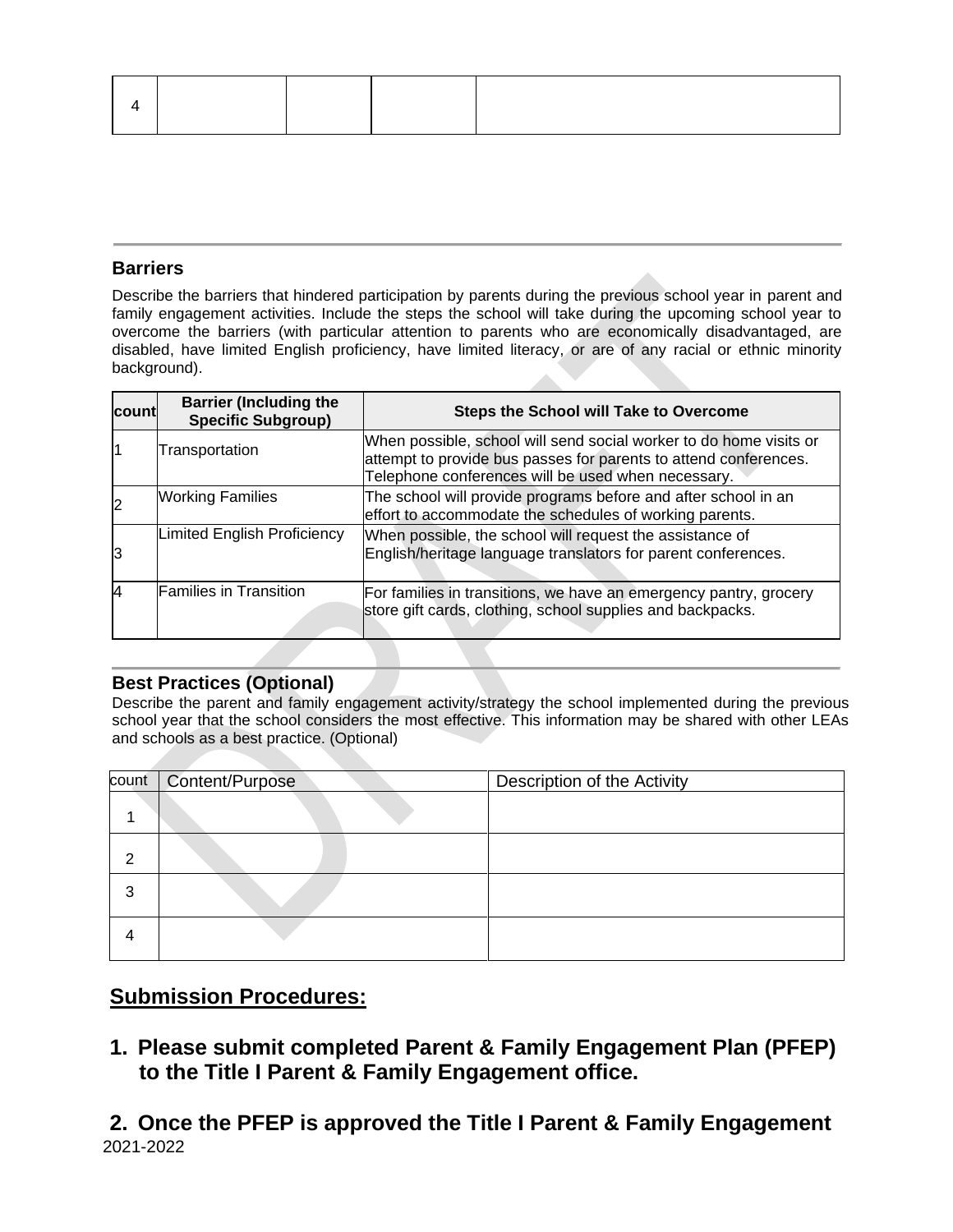### **Barriers**

Describe the barriers that hindered participation by parents during the previous school year in parent and family engagement activities. Include the steps the school will take during the upcoming school year to overcome the barriers (with particular attention to parents who are economically disadvantaged, are disabled, have limited English proficiency, have limited literacy, or are of any racial or ethnic minority background). 

| <b>count</b> | <b>Barrier (Including the</b><br><b>Specific Subgroup)</b> | <b>Steps the School will Take to Overcome</b>                                                                                                                                                |
|--------------|------------------------------------------------------------|----------------------------------------------------------------------------------------------------------------------------------------------------------------------------------------------|
|              | Transportation                                             | When possible, school will send social worker to do home visits or<br>attempt to provide bus passes for parents to attend conferences.<br>Telephone conferences will be used when necessary. |
| 12           | <b>Working Families</b>                                    | The school will provide programs before and after school in an<br>effort to accommodate the schedules of working parents.                                                                    |
| 13           | Limited English Proficiency                                | When possible, the school will request the assistance of<br>English/heritage language translators for parent conferences.                                                                    |
| 4            | <b>Families in Transition</b>                              | For families in transitions, we have an emergency pantry, grocery<br>store gift cards, clothing, school supplies and backpacks.                                                              |

### **Best Practices (Optional)**

Describe the parent and family engagement activity/strategy the school implemented during the previous school year that the school considers the most effective. This information may be shared with other LEAs and schools as a best practice. (Optional)

|   | count   Content/Purpose | Description of the Activity |
|---|-------------------------|-----------------------------|
|   |                         |                             |
| 2 |                         |                             |
| 3 |                         |                             |
| 4 |                         |                             |

# **Submission Procedures:**

**1. Please submit completed Parent & Family Engagement Plan (PFEP) to the Title I Parent & Family Engagement office.** 

2021-2022 **2. Once the PFEP is approved the Title I Parent & Family Engagement**